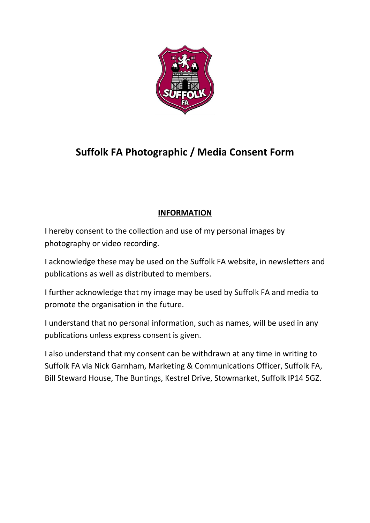

## **Suffolk FA Photographic / Media Consent Form**

## **INFORMATION**

I hereby consent to the collection and use of my personal images by photography or video recording.

I acknowledge these may be used on the Suffolk FA website, in newsletters and publications as well as distributed to members.

I further acknowledge that my image may be used by Suffolk FA and media to promote the organisation in the future.

I understand that no personal information, such as names, will be used in any publications unless express consent is given.

I also understand that my consent can be withdrawn at any time in writing to Suffolk FA via Nick Garnham, Marketing & Communications Officer, Suffolk FA, Bill Steward House, The Buntings, Kestrel Drive, Stowmarket, Suffolk IP14 5GZ.